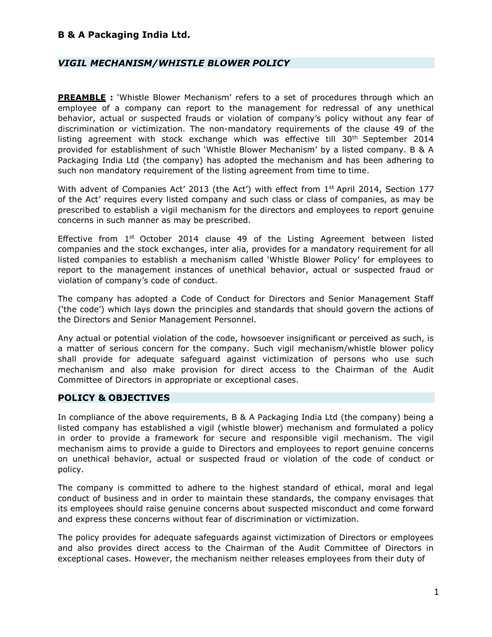### VIGIL MECHANISM/WHISTLE BLOWER POLICY

**PREAMBLE** : 'Whistle Blower Mechanism' refers to a set of procedures through which an employee of a company can report to the management for redressal of any unethical behavior, actual or suspected frauds or violation of company's policy without any fear of discrimination or victimization. The non-mandatory requirements of the clause 49 of the listing agreement with stock exchange which was effective till  $30<sup>th</sup>$  September 2014 provided for establishment of such 'Whistle Blower Mechanism' by a listed company. B & A Packaging India Ltd (the company) has adopted the mechanism and has been adhering to such non mandatory requirement of the listing agreement from time to time.

With advent of Companies Act' 2013 (the Act') with effect from 1<sup>st</sup> April 2014, Section 177 of the Act' requires every listed company and such class or class of companies, as may be prescribed to establish a vigil mechanism for the directors and employees to report genuine concerns in such manner as may be prescribed.

Effective from 1<sup>st</sup> October 2014 clause 49 of the Listing Agreement between listed companies and the stock exchanges, inter alia, provides for a mandatory requirement for all listed companies to establish a mechanism called 'Whistle Blower Policy' for employees to report to the management instances of unethical behavior, actual or suspected fraud or violation of company's code of conduct.

The company has adopted a Code of Conduct for Directors and Senior Management Staff ('the code') which lays down the principles and standards that should govern the actions of the Directors and Senior Management Personnel.

Any actual or potential violation of the code, howsoever insignificant or perceived as such, is a matter of serious concern for the company. Such vigil mechanism/whistle blower policy shall provide for adequate safeguard against victimization of persons who use such mechanism and also make provision for direct access to the Chairman of the Audit Committee of Directors in appropriate or exceptional cases.

#### POLICY & OBJECTIVES

In compliance of the above requirements, B & A Packaging India Ltd (the company) being a listed company has established a vigil (whistle blower) mechanism and formulated a policy in order to provide a framework for secure and responsible vigil mechanism. The vigil mechanism aims to provide a guide to Directors and employees to report genuine concerns on unethical behavior, actual or suspected fraud or violation of the code of conduct or policy.

The company is committed to adhere to the highest standard of ethical, moral and legal conduct of business and in order to maintain these standards, the company envisages that its employees should raise genuine concerns about suspected misconduct and come forward and express these concerns without fear of discrimination or victimization.

The policy provides for adequate safeguards against victimization of Directors or employees and also provides direct access to the Chairman of the Audit Committee of Directors in exceptional cases. However, the mechanism neither releases employees from their duty of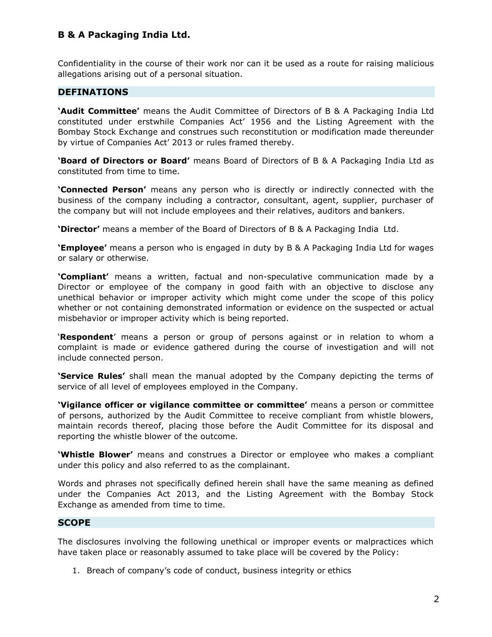Confidentiality in the course of their work nor can it be used as a route for raising malicious allegations arising out of a personal situation.

#### DEFINATIONS

'Audit Committee' means the Audit Committee of Directors of B & A Packaging India Ltd constituted under erstwhile Companies Act' 1956 and the Listing Agreement with the Bombay Stock Exchange and construes such reconstitution or modification made thereunder by virtue of Companies Act' 2013 or rules framed thereby.

**'Board of Directors or Board'** means Board of Directors of B & A Packaging India Ltd as constituted from time to time.

**'Connected Person'** means any person who is directly or indirectly connected with the business of the company including a contractor, consultant, agent, supplier, purchaser of the company but will not include employees and their relatives, auditors and bankers.

**'Director'** means a member of the Board of Directors of B & A Packaging India Ltd.

**'Employee'** means a person who is engaged in duty by B & A Packaging India Ltd for wages or salary or otherwise.

'Compliant' means a written, factual and non-speculative communication made by a Director or employee of the company in good faith with an objective to disclose any unethical behavior or improper activity which might come under the scope of this policy whether or not containing demonstrated information or evidence on the suspected or actual misbehavior or improper activity which is being reported.

'Respondent' means a person or group of persons against or in relation to whom a complaint is made or evidence gathered during the course of investigation and will not include connected person.

**'Service Rules'** shall mean the manual adopted by the Company depicting the terms of service of all level of employees employed in the Company.

'Vigilance officer or vigilance committee or committee' means a person or committee of persons, authorized by the Audit Committee to receive compliant from whistle blowers, maintain records thereof, placing those before the Audit Committee for its disposal and reporting the whistle blower of the outcome.

**'Whistle Blower'** means and construes a Director or employee who makes a compliant under this policy and also referred to as the complainant.

Words and phrases not specifically defined herein shall have the same meaning as defined under the Companies Act 2013, and the Listing Agreement with the Bombay Stock Exchange as amended from time to time.

#### **SCOPE**

The disclosures involving the following unethical or improper events or malpractices which have taken place or reasonably assumed to take place will be covered by the Policy:

1. Breach of company's code of conduct, business integrity or ethics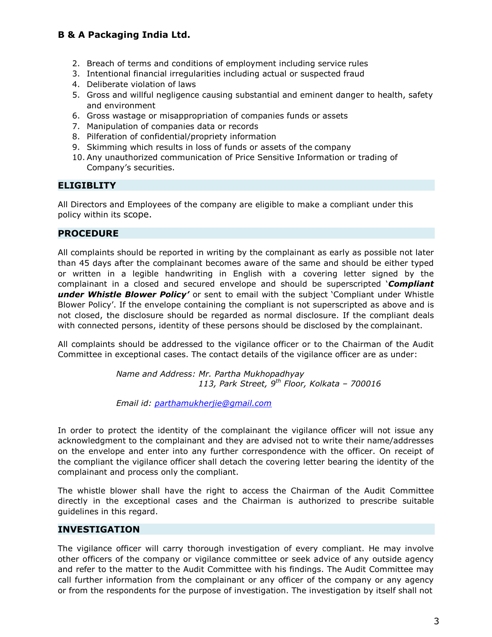- 2. Breach of terms and conditions of employment including service rules
- 3. Intentional financial irregularities including actual or suspected fraud
- 4. Deliberate violation of laws
- 5. Gross and willful negligence causing substantial and eminent danger to health, safety and environment
- 6. Gross wastage or misappropriation of companies funds or assets
- 7. Manipulation of companies data or records
- 8. Pilferation of confidential/propriety information
- 9. Skimming which results in loss of funds or assets of the company
- 10. Any unauthorized communication of Price Sensitive Information or trading of Company's securities.

### **ELIGIBLITY**

All Directors and Employees of the company are eligible to make a compliant under this policy within its scope.

#### PROCEDURE

All complaints should be reported in writing by the complainant as early as possible not later than 45 days after the complainant becomes aware of the same and should be either typed or written in a legible handwriting in English with a covering letter signed by the complainant in a closed and secured envelope and should be superscripted **Compliant** under Whistle Blower Policy' or sent to email with the subject 'Compliant under Whistle Blower Policy'. If the envelope containing the compliant is not superscripted as above and is not closed, the disclosure should be regarded as normal disclosure. If the compliant deals with connected persons, identity of these persons should be disclosed by the complainant.

All complaints should be addressed to the vigilance officer or to the Chairman of the Audit Committee in exceptional cases. The contact details of the vigilance officer are as under:

> Name and Address: Mr. Partha Mukhopadhyay 113, Park Street,  $9^{th}$  Floor, Kolkata – 700016

Email id: parthamukherjie@gmail.com

In order to protect the identity of the complainant the vigilance officer will not issue any acknowledgment to the complainant and they are advised not to write their name/addresses on the envelope and enter into any further correspondence with the officer. On receipt of the compliant the vigilance officer shall detach the covering letter bearing the identity of the complainant and process only the compliant.

The whistle blower shall have the right to access the Chairman of the Audit Committee directly in the exceptional cases and the Chairman is authorized to prescribe suitable guidelines in this regard.

#### INVESTIGATION

The vigilance officer will carry thorough investigation of every compliant. He may involve other officers of the company or vigilance committee or seek advice of any outside agency and refer to the matter to the Audit Committee with his findings. The Audit Committee may call further information from the complainant or any officer of the company or any agency or from the respondents for the purpose of investigation. The investigation by itself shall not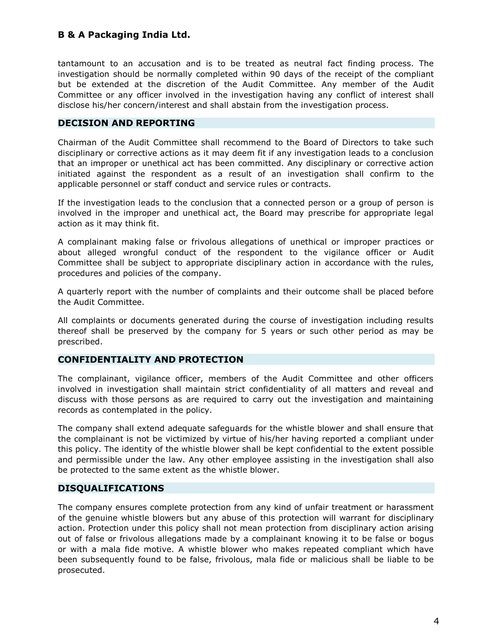tantamount to an accusation and is to be treated as neutral fact finding process. The investigation should be normally completed within 90 days of the receipt of the compliant but be extended at the discretion of the Audit Committee. Any member of the Audit Committee or any officer involved in the investigation having any conflict of interest shall disclose his/her concern/interest and shall abstain from the investigation process.

#### DECISION AND REPORTING

Chairman of the Audit Committee shall recommend to the Board of Directors to take such disciplinary or corrective actions as it may deem fit if any investigation leads to a conclusion that an improper or unethical act has been committed. Any disciplinary or corrective action initiated against the respondent as a result of an investigation shall confirm to the applicable personnel or staff conduct and service rules or contracts.

If the investigation leads to the conclusion that a connected person or a group of person is involved in the improper and unethical act, the Board may prescribe for appropriate legal action as it may think fit.

A complainant making false or frivolous allegations of unethical or improper practices or about alleged wrongful conduct of the respondent to the vigilance officer or Audit Committee shall be subject to appropriate disciplinary action in accordance with the rules, procedures and policies of the company.

A quarterly report with the number of complaints and their outcome shall be placed before the Audit Committee.

All complaints or documents generated during the course of investigation including results thereof shall be preserved by the company for 5 years or such other period as may be prescribed.

#### CONFIDENTIALITY AND PROTECTION

The complainant, vigilance officer, members of the Audit Committee and other officers involved in investigation shall maintain strict confidentiality of all matters and reveal and discuss with those persons as are required to carry out the investigation and maintaining records as contemplated in the policy.

The company shall extend adequate safeguards for the whistle blower and shall ensure that the complainant is not be victimized by virtue of his/her having reported a compliant under this policy. The identity of the whistle blower shall be kept confidential to the extent possible and permissible under the law. Any other employee assisting in the investigation shall also be protected to the same extent as the whistle blower.

#### DISQUALIFICATIONS

The company ensures complete protection from any kind of unfair treatment or harassment of the genuine whistle blowers but any abuse of this protection will warrant for disciplinary action. Protection under this policy shall not mean protection from disciplinary action arising out of false or frivolous allegations made by a complainant knowing it to be false or bogus or with a mala fide motive. A whistle blower who makes repeated compliant which have been subsequently found to be false, frivolous, mala fide or malicious shall be liable to be prosecuted.